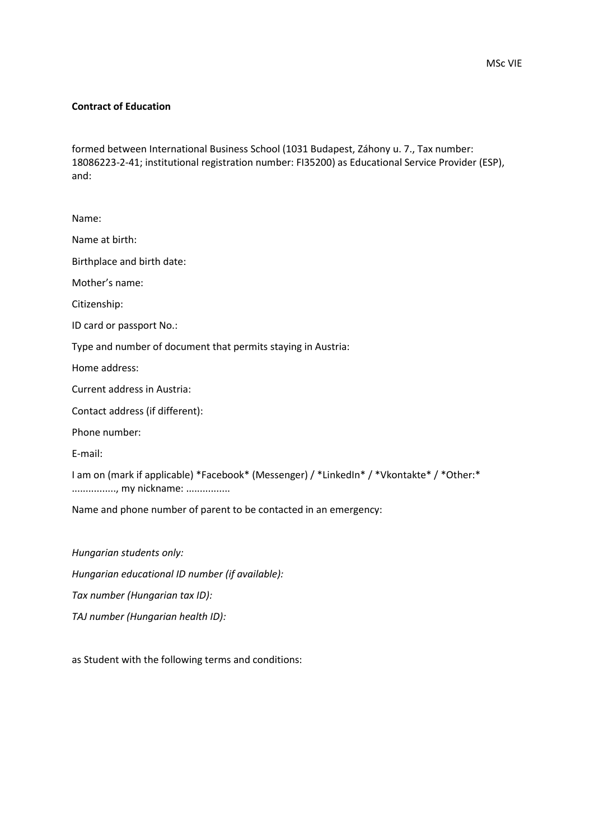## **Contract of Education**

formed between International Business School (1031 Budapest, Záhony u. 7., Tax number: 18086223-2-41; institutional registration number: FI35200) as Educational Service Provider (ESP), and:

Name: Name at birth: Birthplace and birth date: Mother's name: Citizenship: ID card or passport No.: Type and number of document that permits staying in Austria: Home address: Current address in Austria: Contact address (if different): Phone number: E-mail: I am on (mark if applicable) \*Facebook\* (Messenger) / \*LinkedIn\* / \*Vkontakte\* / \*Other:\* ................., my nickname: ................. Name and phone number of parent to be contacted in an emergency:

*Hungarian students only: Hungarian educational ID number (if available): Tax number (Hungarian tax ID): TAJ number (Hungarian health ID):*

as Student with the following terms and conditions: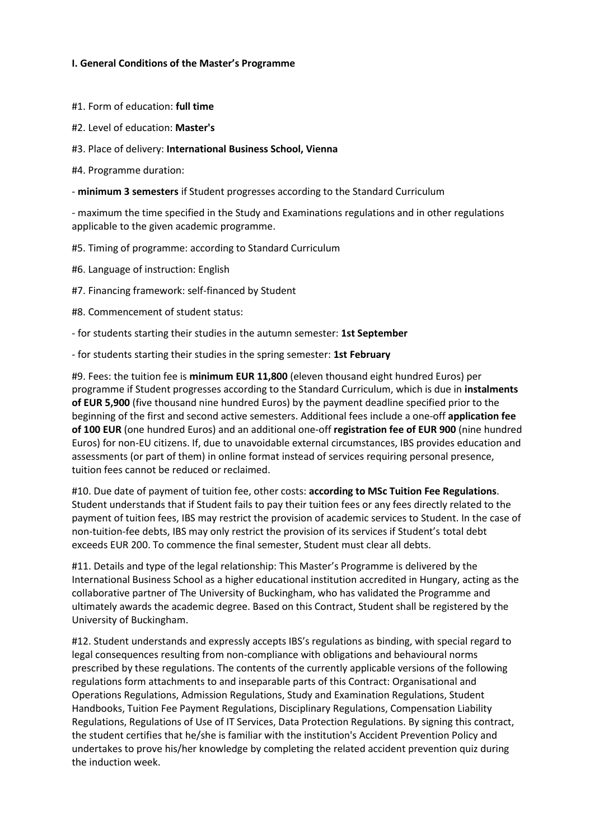# **I. General Conditions of the Master's Programme**

#1. Form of education: **full time**

- #2. Level of education: **Master's**
- #3. Place of delivery: **International Business School, Vienna**
- #4. Programme duration:
- **minimum 3 semesters** if Student progresses according to the Standard Curriculum

- maximum the time specified in the Study and Examinations regulations and in other regulations applicable to the given academic programme.

- #5. Timing of programme: according to Standard Curriculum
- #6. Language of instruction: English
- #7. Financing framework: self-financed by Student
- #8. Commencement of student status:
- for students starting their studies in the autumn semester: **1st September**
- for students starting their studies in the spring semester: **1st February**

#9. Fees: the tuition fee is **minimum EUR 11,800** (eleven thousand eight hundred Euros) per programme if Student progresses according to the Standard Curriculum, which is due in **instalments of EUR 5,900** (five thousand nine hundred Euros) by the payment deadline specified prior to the beginning of the first and second active semesters. Additional fees include a one-off **application fee of 100 EUR** (one hundred Euros) and an additional one-off **registration fee of EUR 900** (nine hundred Euros) for non-EU citizens. If, due to unavoidable external circumstances, IBS provides education and assessments (or part of them) in online format instead of services requiring personal presence, tuition fees cannot be reduced or reclaimed.

#10. Due date of payment of tuition fee, other costs: **according to MSc Tuition Fee Regulations**. Student understands that if Student fails to pay their tuition fees or any fees directly related to the payment of tuition fees, IBS may restrict the provision of academic services to Student. In the case of non-tuition-fee debts, IBS may only restrict the provision of its services if Student's total debt exceeds EUR 200. To commence the final semester, Student must clear all debts.

#11. Details and type of the legal relationship: This Master's Programme is delivered by the International Business School as a higher educational institution accredited in Hungary, acting as the collaborative partner of The University of Buckingham, who has validated the Programme and ultimately awards the academic degree. Based on this Contract, Student shall be registered by the University of Buckingham.

#12. Student understands and expressly accepts IBS's regulations as binding, with special regard to legal consequences resulting from non-compliance with obligations and behavioural norms prescribed by these regulations. The contents of the currently applicable versions of the following regulations form attachments to and inseparable parts of this Contract: Organisational and Operations Regulations, Admission Regulations, Study and Examination Regulations, Student Handbooks, Tuition Fee Payment Regulations, Disciplinary Regulations, Compensation Liability Regulations, Regulations of Use of IT Services, Data Protection Regulations. By signing this contract, the student certifies that he/she is familiar with the institution's Accident Prevention Policy and undertakes to prove his/her knowledge by completing the related accident prevention quiz during the induction week.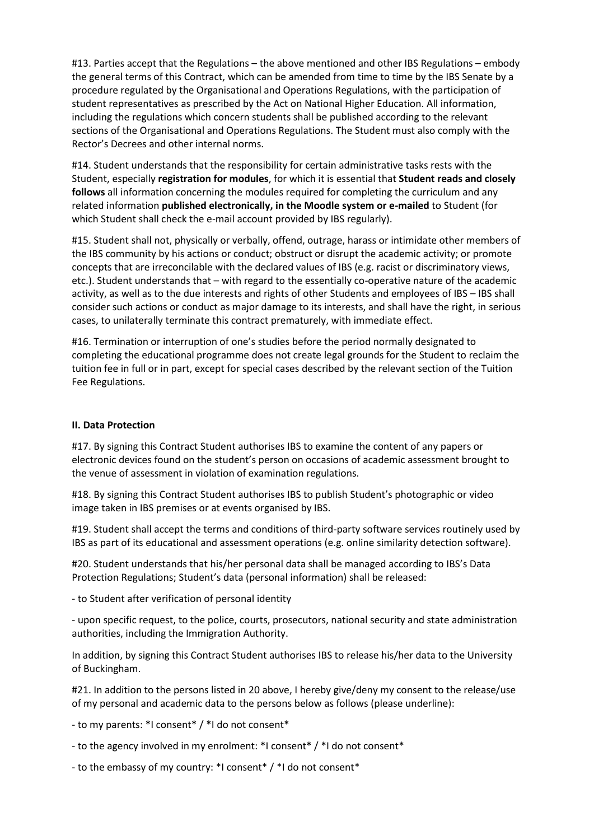#13. Parties accept that the Regulations – the above mentioned and other IBS Regulations – embody the general terms of this Contract, which can be amended from time to time by the IBS Senate by a procedure regulated by the Organisational and Operations Regulations, with the participation of student representatives as prescribed by the Act on National Higher Education. All information, including the regulations which concern students shall be published according to the relevant sections of the Organisational and Operations Regulations. The Student must also comply with the Rector's Decrees and other internal norms.

#14. Student understands that the responsibility for certain administrative tasks rests with the Student, especially **registration for modules**, for which it is essential that **Student reads and closely follows** all information concerning the modules required for completing the curriculum and any related information **published electronically, in the Moodle system or e-mailed** to Student (for which Student shall check the e-mail account provided by IBS regularly).

#15. Student shall not, physically or verbally, offend, outrage, harass or intimidate other members of the IBS community by his actions or conduct; obstruct or disrupt the academic activity; or promote concepts that are irreconcilable with the declared values of IBS (e.g. racist or discriminatory views, etc.). Student understands that – with regard to the essentially co-operative nature of the academic activity, as well as to the due interests and rights of other Students and employees of IBS – IBS shall consider such actions or conduct as major damage to its interests, and shall have the right, in serious cases, to unilaterally terminate this contract prematurely, with immediate effect.

#16. Termination or interruption of one's studies before the period normally designated to completing the educational programme does not create legal grounds for the Student to reclaim the tuition fee in full or in part, except for special cases described by the relevant section of the Tuition Fee Regulations.

# **II. Data Protection**

#17. By signing this Contract Student authorises IBS to examine the content of any papers or electronic devices found on the student's person on occasions of academic assessment brought to the venue of assessment in violation of examination regulations.

#18. By signing this Contract Student authorises IBS to publish Student's photographic or video image taken in IBS premises or at events organised by IBS.

#19. Student shall accept the terms and conditions of third-party software services routinely used by IBS as part of its educational and assessment operations (e.g. online similarity detection software).

#20. Student understands that his/her personal data shall be managed according to IBS's Data Protection Regulations; Student's data (personal information) shall be released:

- to Student after verification of personal identity

- upon specific request, to the police, courts, prosecutors, national security and state administration authorities, including the Immigration Authority.

In addition, by signing this Contract Student authorises IBS to release his/her data to the University of Buckingham.

#21. In addition to the persons listed in 20 above, I hereby give/deny my consent to the release/use of my personal and academic data to the persons below as follows (please underline):

- to my parents: \*I consent\* / \*I do not consent\*

- to the agency involved in my enrolment: \*I consent\* / \*I do not consent\*
- to the embassy of my country: \*I consent\* / \*I do not consent\*